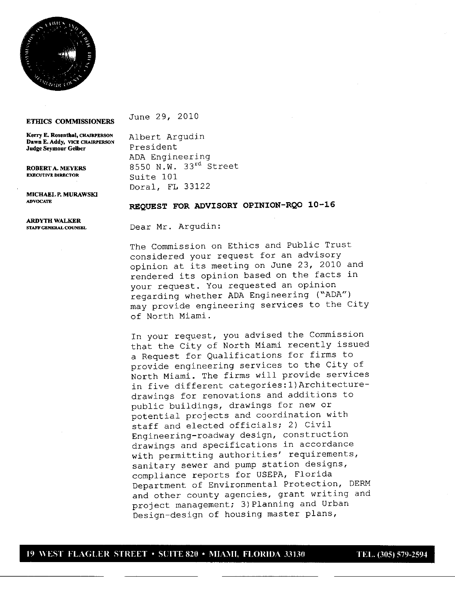

## ETHICS COMMISSIONERS

June 29, 2010

**Kerry E. Rosenthal, CHAIRPERSON Albert Argudin<br>
<b>Dawn E. Addy, VICE CHAIRPERSON President Judge Seymour Gelber** 

ADA Engineering **ROBERTA.MEYERS** 8550 N.W. 33<sup>rd</sup> Street<br>EXECUTIVE DIRECTOR 811 Strite 101 Suite 101 Doral, FL 33122

MICHAEL **P. MURAWSKI** ADVOCATE

## **REQUEST FOR ADVISORY OPINION-RQO 10-16**

**ARDYTH WALKER**

STAFFGENERALCOUNSEL Dear Mr. Argudin:

The Commission on Ethics and Public Trust considered your request for an advisory opinion at its meeting on June 23, 2010 and rendered its opinion based on the facts in your request. You requested an opinion regarding whether ADA Engineering ("ADA") may provide engineering services to the City of North Miami.

In your request, you advised the Commission that the City of North Miami recently issued a Request for Qualifications for firms to provide engineering services to the City of North Miami. The firms will provide services in five different categories: 1) Architecturedrawings for renovations and additions to public buildings, drawings for new or potential projects and coordination with staff and elected officials; 2) Civil Engineering-roadway design, construction drawings and specifications in accordance with permitting authorities' requirements, sanitary sewer and pump station designs, compliance reports for USEPA, Florida Department of Environmental Protection, DERM and other county agencies, grant writing and project management; 3) Planning and Urban Design-design of housing master plans,

## **<sup>19</sup> WEST FACUER STREET** \* **SUITE <sup>820</sup>** \* **MIAMI, FLORIDA <sup>33130</sup> TEL 305579-2594**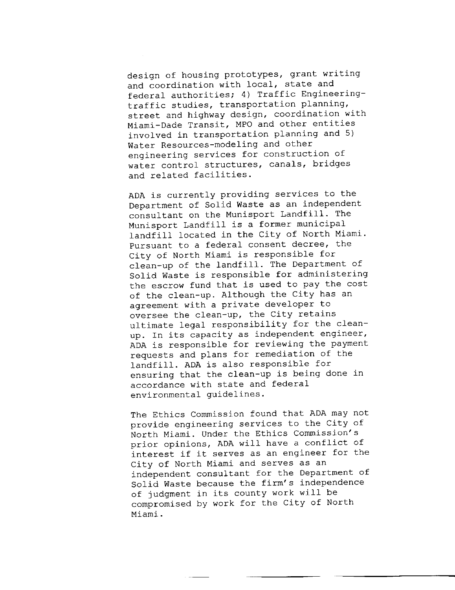design of housing prototypes, grant writing and coordination with local, state and federal authorities; 4) Traffic Engineeringtraffic studies, transportation planning, street and highway design, coordination with Miami-Dade Transit, MPO and other entities involved in transportation planning and 5 Water Resources-modeling and other engineering services for construction of water control structures, canals, bridges and related facilities.

ADA is currently providing services to the Department of Solid Waste as an independent consultant on the Munisport Landfill. The Munisport Landfill is a former municipal landfill located in the City of North Miami. Pursuant to a federal consent decree, the City of North Miami is responsible for clean-up of the landfill. The Department of Solid Waste is responsible for administering the escrow fund that is used to pay the cost of the clean-up. Although the City has an agreement with a private developer to oversee the clean-up, the City retains ultimate legal responsibility for the clean up. In its capacity as independent engineer, ADA is responsible for reviewing the payment requests and plans for remediation of the landfill. ADA is also responsible for ensuring that the clean-up is being done in accordance with state and federal environmental guidelines.

The Ethics Commission found that ADA may not provide engineering services to the City of North Miami. Under the Ethics Commission's prior opinions, ADA will have a conflict of interest if it serves as an engineer for the City of North Miami and serves as an independent consultant for the Department of Solid Waste because the firm's independence of judgment in its county work will be compromised by work for the City of North Miami.